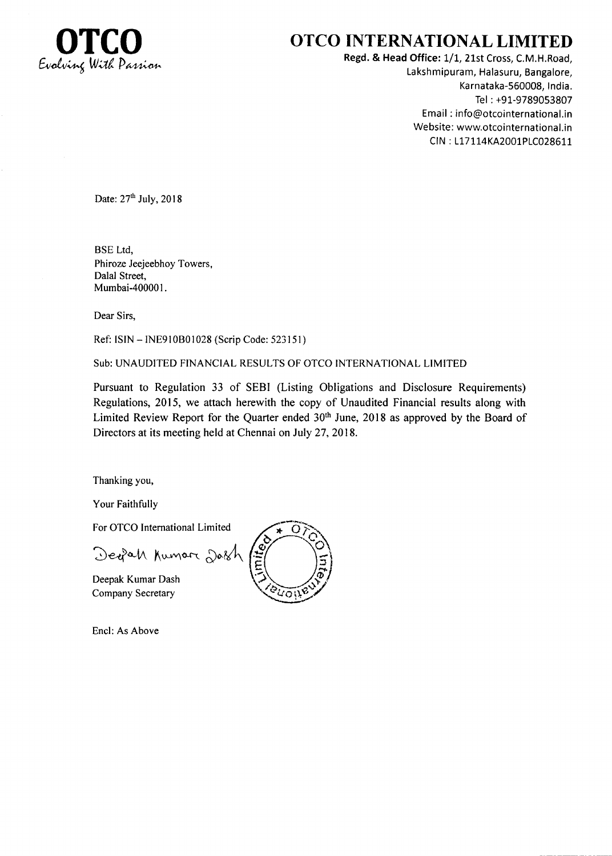

## OTCO INTERNATIONAL LIMITED

Regd. & Head Office: 1/1, 21st Cross, C.M.H.Road, Lakshmipuram, Halasuru, Bangalore, Karnataka-560008, India. Tel : +91-9789053807 Email : info@otcointernational,in Website: www.otcointernational.in CIN: L17114KA2001PLC028611

Date:  $27<sup>th</sup>$  July,  $2018$ 

BSE Ltd, Phiroze Jeejeebhoy Towers, Dalal Street, Mumbai-400001.

Dear Sirs,

Ref: ISIN - INE910B01028 (Scrip Code: 523151)

Sub:UNAUDITED FINANCIAL RESULTS OF OTCO INTERNATIONAL LIMITED

Pursuant to Regulation 33 of SEBI (Listing Obligations and Disclosure Requirements) Regulations,2015, we attach herewith the copy of Unaudited Financial results along with Limited Review Report for the Quarter ended 30<sup>th</sup> June, 2018 as approved by the Board of Directors at its meeting held at Chennai on July 27,2018.

Thanking you,

Your Faithfully

For OTCO International Limited

Deefah Kumar Dash

Deepak Kumar Dash Company Secretary

 $\overline{O}$ ບດນ

Encl: As Above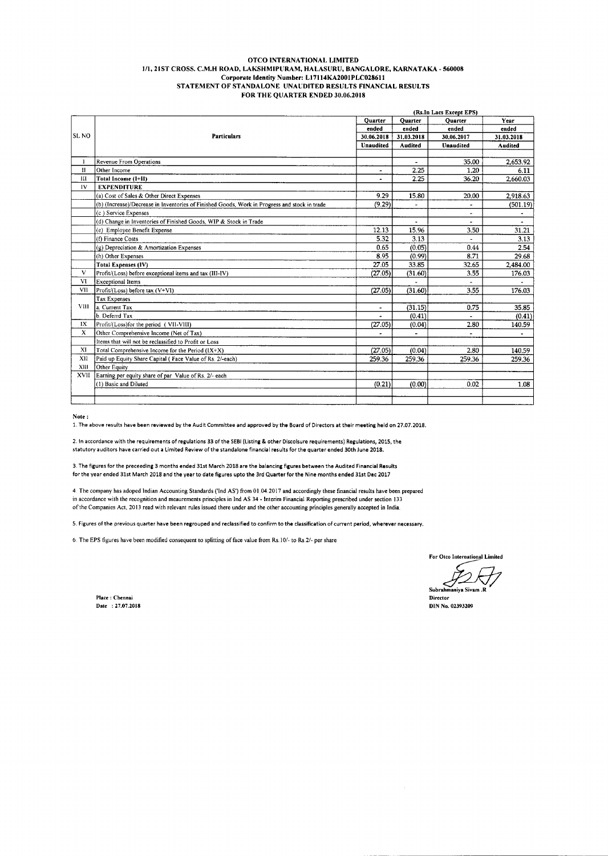## OTCO INTERNATIONAL LIMITED 1/1, 21ST CROSS, C.M.H ROAD, LAKSHMIPURAM, HALASURU, BANGALORE, KARNATAKA - 560008 Corporate Identity Number: L17114KA2001PLC028611 STATEMENT OF STANDALONE UNAUDITED RESULTS FINANCIAL RESULTS FOR THE QUARTER ENDED 30.06.2018

|                  |                                                                                               |                | (Rs.In Lacs Except EPS)  |                          |                          |  |
|------------------|-----------------------------------------------------------------------------------------------|----------------|--------------------------|--------------------------|--------------------------|--|
|                  |                                                                                               | Quarter        | Quarter                  | <b>Quarter</b>           | Year                     |  |
|                  |                                                                                               | ended          | ended                    | ended                    | ended                    |  |
| SL <sub>NO</sub> | <b>Particulars</b>                                                                            | 30.06.2018     | 31.03.2018               | 30.06.2017               | 31.03.2018               |  |
|                  |                                                                                               | Unaudited      | Audited                  | <b>Unaudited</b>         | <b>Audited</b>           |  |
|                  |                                                                                               |                |                          |                          |                          |  |
| 1                | <b>Revenue From Operations</b>                                                                |                | $\blacksquare$           | 35.00                    | 2,653.92                 |  |
| $\mathbf{H}$     | Other Income                                                                                  | $\blacksquare$ | 2.25                     | 1.20                     | 6.11                     |  |
| Ш                | Total Income (I+II)                                                                           |                | 2.25                     | 36.20                    | 2,660.03                 |  |
| IV               | <b>EXPENDITURE</b>                                                                            |                |                          |                          |                          |  |
|                  | (a) Cost of Sales & Other Direct Expenses                                                     | 9.29           | 15.80                    | 20,00                    | 2,918.63                 |  |
|                  | (b) (Increase)/Decrease in Inventories of Finished Goods, Work in Progress and stock in trade | (9.29)         |                          | ٠                        | (501.19)                 |  |
|                  | (c) Service Expenses                                                                          |                |                          | $\overline{\phantom{a}}$ | $\blacksquare$           |  |
|                  | (d) Change in Inventories of Finished Goods, WIP & Stock in Trade                             |                | ٠                        | $\tilde{\phantom{a}}$    | $\overline{\phantom{a}}$ |  |
|                  | (e) Employee Benefit Expense                                                                  | 12.13          | 15.96                    | 3.50                     | 31.21                    |  |
|                  | (f) Finance Costs                                                                             | 5.32           | 3.13                     |                          | 3.13                     |  |
|                  | (g) Depreciation & Amortization Expenses                                                      | 0.65           | (0.05)                   | 0.44                     | 2.54                     |  |
|                  | (h) Other Expenses                                                                            | 8.95           | (0.99)                   | 8.71                     | 29.68                    |  |
|                  | <b>Total Expenses (IV)</b>                                                                    | 27.05          | 33.85                    | 32.65                    | 2,484.00                 |  |
| $\mathbf{V}$     | Profit/(Loss) before exceptional items and tax (III-IV)                                       | (27.05)        | (31.60)                  | 3.55                     | 176.03                   |  |
| <b>VI</b>        | <b>Exceptional Items</b>                                                                      |                |                          |                          |                          |  |
| VII              | Profit/(Loss) before tax (V+VI)                                                               | (27.05)        | (31.60)                  | 3.55                     | 176.03                   |  |
|                  | <b>Tax Expenses</b>                                                                           |                |                          |                          |                          |  |
| <b>VIII</b>      | la. Current Tax                                                                               | ۰              | (31.15)                  | 0.75                     | 35.85                    |  |
|                  | b. Deferrd Tax                                                                                | ٠              | (0.41)                   | $\blacksquare$           | (0.41)                   |  |
| IX               | Profit/(Loss)for the period (VII-VIII)                                                        | (27.05)        | (0.04)                   | 2.80                     | 140.59                   |  |
| X                | Other Comprehensive Income (Net of Tax)                                                       |                | $\overline{\phantom{a}}$ | $\tilde{\phantom{a}}$    | $\blacksquare$           |  |
|                  | Items that will not be reclassified to Profit or Loss                                         |                |                          |                          |                          |  |
| XI               | Total Comprehensive Income for the Period (IX+X)                                              | (27.05)        | (0.04)                   | 2.80                     | 140.59                   |  |
| XII              | Paid up Equity Share Capital (Face Value of Rs. 2/-each)                                      | 259.36         | 259.36                   | 259.36                   | 259.36                   |  |
| XIII             | Other Equity                                                                                  |                |                          |                          |                          |  |
| XVII             | Earning per equity share of par Value of Rs. 2/- each                                         |                |                          |                          |                          |  |
|                  | (1) Basic and Diluted                                                                         | (0.21)         | (0.00)                   | 0.02                     | 1.08                     |  |
|                  |                                                                                               |                |                          |                          |                          |  |
|                  |                                                                                               |                |                          |                          |                          |  |

Note:

1. The above results have been reviewed by the Audit Committee and approved by the Board of Directors at their meeting held on 27.07.2018.

2. In accordance with the requirements of regulations 33 of the SEBI (Listing & other Discolsure requirements) Regulations, 2015, the statutory auditors have carried out a Limited Review of the standalone financial results for the quarter ended 30th June 2018.

3. The figures for the preceeding 3 months ended 31st March 2018 are the balancing figures between the Audited Financial Results for the year ended 31st March 2018 and the year to date figures upto the 3rd Quarter for the Nine months ended 31st Dec 2017

4. The company has adoped Indian Accounting Standards ('Ind AS') from 01.04.2017 and accordingly these financial results have been prepared in accordance with the recognition and meaurements principles in 1nd AS 34 - Interim Financial Reporting prescribed under section 133 of the Companies Act, 2013 read with relevant rules issued there under and the other accounting principles generally accepted in India.

5. Figures of the previous quarter have been regrouped and reclassified to confirm to the classification of current period, wherever necessary.

6. The EPS figures have been modified consequent to splitting of face value from Rs. 10/- to Rs. 2/- per share

For Otco International Limited

iiya Siyam .R

Director **DIN No. 02393209** 

Place : Chennai Date: 27.07.2018